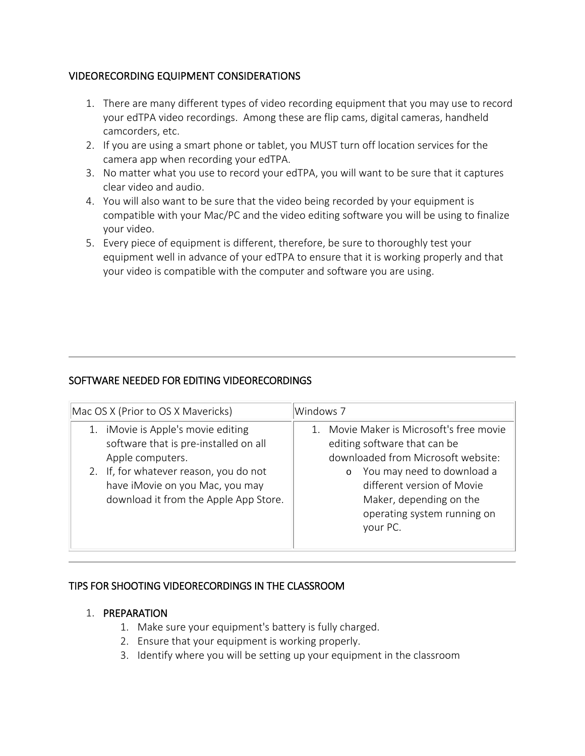### VIDEORECORDING EQUIPMENT CONSIDERATIONS

- 1. There are many different types of video recording equipment that you may use to record your edTPA video recordings. Among these are flip cams, digital cameras, handheld camcorders, etc.
- 2. If you are using a smart phone or tablet, you MUST turn off location services for the camera app when recording your edTPA.
- 3. No matter what you use to record your edTPA, you will want to be sure that it captures clear video and audio.
- 4. You will also want to be sure that the video being recorded by your equipment is compatible with your Mac/PC and the video editing software you will be using to finalize your video.
- 5. Every piece of equipment is different, therefore, be sure to thoroughly test your equipment well in advance of your edTPA to ensure that it is working properly and that your video is compatible with the computer and software you are using.

## SOFTWARE NEEDED FOR EDITING VIDEORECORDINGS

| Mac OS X (Prior to OS X Mavericks)                                                                                 | Windows 7                                                                                                                                 |  |
|--------------------------------------------------------------------------------------------------------------------|-------------------------------------------------------------------------------------------------------------------------------------------|--|
| 1. iMovie is Apple's movie editing<br>software that is pre-installed on all<br>Apple computers.                    | Movie Maker is Microsoft's free movie<br>$\mathbf{1}$<br>editing software that can be<br>downloaded from Microsoft website:               |  |
| 2. If, for whatever reason, you do not<br>have iMovie on you Mac, you may<br>download it from the Apple App Store. | You may need to download a<br>$\circ$<br>different version of Movie<br>Maker, depending on the<br>operating system running on<br>your PC. |  |

### TIPS FOR SHOOTING VIDEORECORDINGS IN THE CLASSROOM

### 1. PREPARATION

- 1. Make sure your equipment's battery is fully charged.
- 2. Ensure that your equipment is working properly.
- 3. Identify where you will be setting up your equipment in the classroom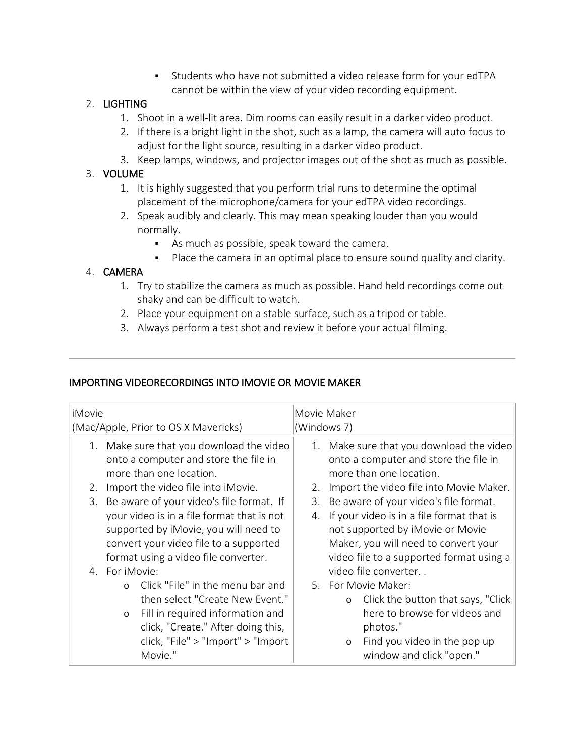Students who have not submitted a video release form for your edTPA cannot be within the view of your video recording equipment.

## 2. LIGHTING

- 1. Shoot in a well-lit area. Dim rooms can easily result in a darker video product.
- 2. If there is a bright light in the shot, such as a lamp, the camera will auto focus to adjust for the light source, resulting in a darker video product.
- 3. Keep lamps, windows, and projector images out of the shot as much as possible.

## 3. VOLUME

- 1. It is highly suggested that you perform trial runs to determine the optimal placement of the microphone/camera for your edTPA video recordings.
- 2. Speak audibly and clearly. This may mean speaking louder than you would normally.
	- As much as possible, speak toward the camera.
	- Place the camera in an optimal place to ensure sound quality and clarity.

# 4. CAMERA

- 1. Try to stabilize the camera as much as possible. Hand held recordings come out shaky and can be difficult to watch.
- 2. Place your equipment on a stable surface, such as a tripod or table.
- 3. Always perform a test shot and review it before your actual filming.

# IMPORTING VIDEORECORDINGS INTO IMOVIE OR MOVIE MAKER

| iMovie<br>(Mac/Apple, Prior to OS X Mavericks) |         |                                                                                                              | Movie Maker<br>(Windows 7) |                                                                                                              |
|------------------------------------------------|---------|--------------------------------------------------------------------------------------------------------------|----------------------------|--------------------------------------------------------------------------------------------------------------|
|                                                |         | 1. Make sure that you download the video<br>onto a computer and store the file in<br>more than one location. |                            | 1. Make sure that you download the video<br>onto a computer and store the file in<br>more than one location. |
| 2.                                             |         | Import the video file into iMovie.                                                                           |                            | 2. Import the video file into Movie Maker.                                                                   |
|                                                |         | 3. Be aware of your video's file format. If                                                                  | 3.                         | Be aware of your video's file format.                                                                        |
|                                                |         | your video is in a file format that is not                                                                   |                            | 4. If your video is in a file format that is                                                                 |
|                                                |         | supported by iMovie, you will need to                                                                        |                            | not supported by iMovie or Movie                                                                             |
| convert your video file to a supported         |         |                                                                                                              |                            | Maker, you will need to convert your                                                                         |
| format using a video file converter.           |         |                                                                                                              |                            | video file to a supported format using a                                                                     |
| 4. For iMovie:                                 |         |                                                                                                              |                            | video file converter                                                                                         |
|                                                |         | o Click "File" in the menu bar and                                                                           |                            | 5. For Movie Maker:                                                                                          |
|                                                |         | then select "Create New Event."                                                                              |                            | o Click the button that says, "Click                                                                         |
|                                                | $\circ$ | Fill in required information and                                                                             |                            | here to browse for videos and                                                                                |
|                                                |         | click, "Create." After doing this,                                                                           |                            | photos."                                                                                                     |
|                                                |         | click, "File" > "Import" > "Import                                                                           |                            | Find you video in the pop up<br>$\circ$                                                                      |
|                                                |         | Movie."                                                                                                      |                            | window and click "open."                                                                                     |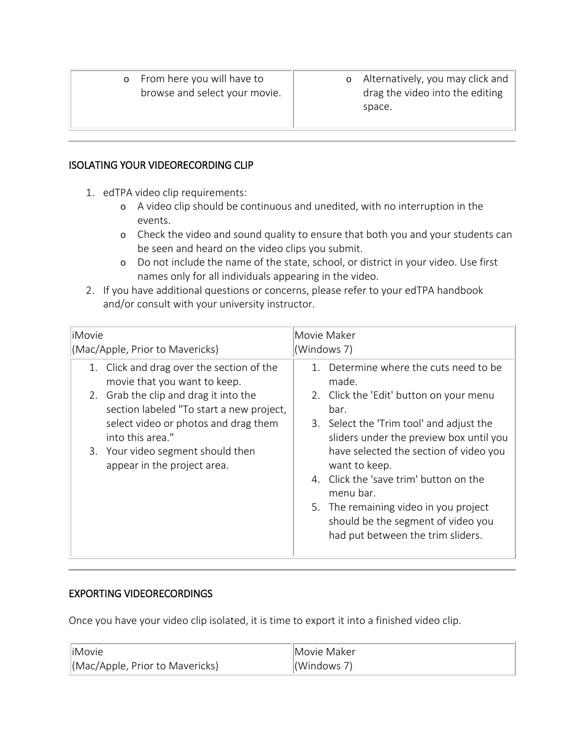o From here you will have to browse and select your movie. o Alternatively, you may click and drag the video into the editing space.

#### ISOLATING YOUR VIDEORECORDING CLIP

- 1. edTPA video clip requirements:
	- o A video clip should be continuous and unedited, with no interruption in the events.
	- o Check the video and sound quality to ensure that both you and your students can be seen and heard on the video clips you submit.
	- o Do not include the name of the state, school, or district in your video. Use first names only for all individuals appearing in the video.
- 2. If you have additional questions or concerns, please refer to your edTPA handbook and/or consult with your university instructor.

| liMovie                                   | Movie Maker                                                                                                      |  |
|-------------------------------------------|------------------------------------------------------------------------------------------------------------------|--|
| (Mac/Apple, Prior to Mavericks)           | (Windows 7)                                                                                                      |  |
| 1. Click and drag over the section of the | 1. Determine where the cuts need to be                                                                           |  |
| movie that you want to keep.              | made.                                                                                                            |  |
| 2. Grab the clip and drag it into the     | 2. Click the 'Edit' button on your menu                                                                          |  |
| section labeled "To start a new project,  | bar.                                                                                                             |  |
| select video or photos and drag them      | 3. Select the 'Trim tool' and adjust the                                                                         |  |
| into this area."                          | sliders under the preview box until you                                                                          |  |
| 3. Your video segment should then         | have selected the section of video you                                                                           |  |
| appear in the project area.               | want to keep.                                                                                                    |  |
|                                           | 4. Click the 'save trim' button on the<br>menu bar.                                                              |  |
|                                           | 5. The remaining video in you project<br>should be the segment of video you<br>had put between the trim sliders. |  |

### EXPORTING VIDEORECORDINGS

Once you have your video clip isolated, it is time to export it into a finished video clip.

| liMovie                        | Movie Maker |
|--------------------------------|-------------|
| KMac/Apple, Prior to Mavericks | (Windows 7) |